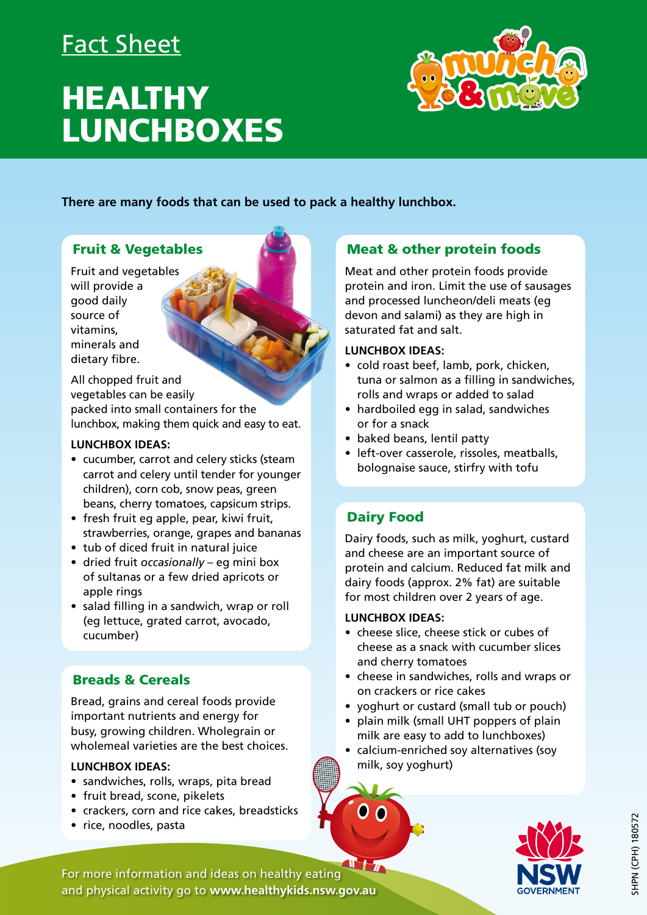# Fact Sheet

# **HEALTHY** LUNCHBOXES



**There are many foods that can be used to pack a healthy lunchbox.** 

### Fruit & Vegetables

Fruit and vegetables will provide a good daily source of vitamins, minerals and dietary fibre.

All chopped fruit and vegetables can be easily packed into small containers for the lunchbox, making them quick and easy to eat.

#### **LUNCHBOX IDEAS:**

- cucumber, carrot and celery sticks (steam carrot and celery until tender for younger children), corn cob, snow peas, green beans, cherry tomatoes, capsicum strips.
- fresh fruit eg apple, pear, kiwi fruit, strawberries, orange, grapes and bananas
- tub of diced fruit in natural juice
- dried fruit *occasionally* eg mini box of sultanas or a few dried apricots or apple rings
- salad filling in a sandwich, wrap or roll (eg lettuce, grated carrot, avocado, cucumber)

# Breads & Cereals

Bread, grains and cereal foods provide important nutrients and energy for busy, growing children. Wholegrain or wholemeal varieties are the best choices.

#### **LUNCHBOX IDEAS:**

- sandwiches, rolls, wraps, pita bread
- fruit bread, scone, pikelets
- crackers, corn and rice cakes, breadsticks
- rice, noodles, pasta

## Meat & other protein foods

Meat and other protein foods provide protein and iron. Limit the use of sausages and processed luncheon/deli meats (eg devon and salami) as they are high in saturated fat and salt.

#### **LUNCHBOX IDEAS:**

- cold roast beef, lamb, pork, chicken, tuna or salmon as a filling in sandwiches, rolls and wraps or added to salad
- hardboiled egg in salad, sandwiches or for a snack
- baked beans, lentil patty
- left-over casserole, rissoles, meatballs, bolognaise sauce, stirfry with tofu

# Dairy Food

Dairy foods, such as milk, yoghurt, custard and cheese are an important source of protein and calcium. Reduced fat milk and dairy foods (approx. 2% fat) are suitable for most children over 2 years of age.

#### **LUNCHBOX IDEAS:**

- cheese slice, cheese stick or cubes of cheese as a snack with cucumber slices and cherry tomatoes
- cheese in sandwiches, rolls and wraps or on crackers or rice cakes
- yoghurt or custard (small tub or pouch)
- plain milk (small UHT poppers of plain milk are easy to add to lunchboxes)
- calcium-enriched soy alternatives (soy milk, soy yoghurt)



 $T + \pi$ For more information and ideas on healthy eating and physical activity go to **[www.healthykids.nsw.gov.au](http://www.healthykids.nsw.gov.au)**